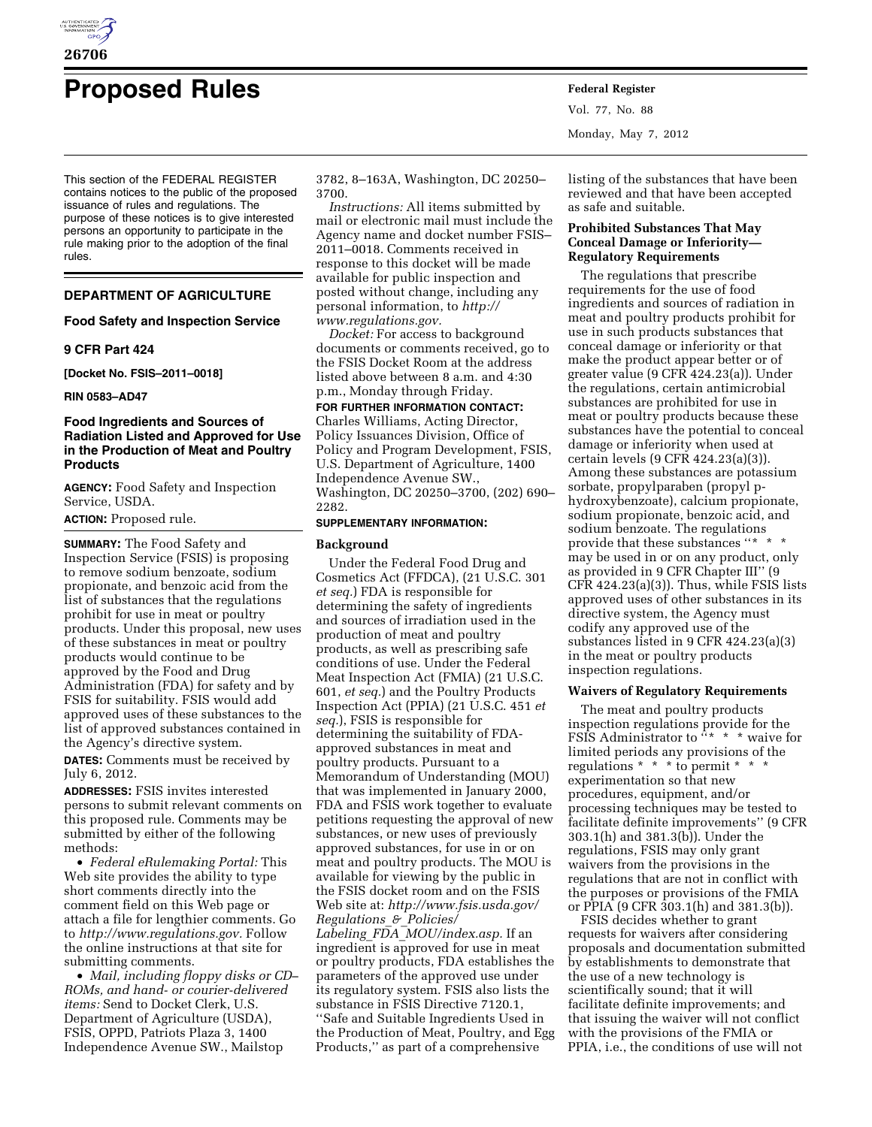

# **Proposed Rules Federal Register**

This section of the FEDERAL REGISTER contains notices to the public of the proposed issuance of rules and regulations. The purpose of these notices is to give interested persons an opportunity to participate in the rule making prior to the adoption of the final rules.

# **DEPARTMENT OF AGRICULTURE**

#### **Food Safety and Inspection Service**

## **9 CFR Part 424**

**[Docket No. FSIS–2011–0018]** 

**RIN 0583–AD47** 

## **Food Ingredients and Sources of Radiation Listed and Approved for Use in the Production of Meat and Poultry Products**

**AGENCY:** Food Safety and Inspection Service, USDA.

**ACTION:** Proposed rule.

**SUMMARY:** The Food Safety and Inspection Service (FSIS) is proposing to remove sodium benzoate, sodium propionate, and benzoic acid from the list of substances that the regulations prohibit for use in meat or poultry products. Under this proposal, new uses of these substances in meat or poultry products would continue to be approved by the Food and Drug Administration (FDA) for safety and by FSIS for suitability. FSIS would add approved uses of these substances to the list of approved substances contained in the Agency's directive system.

**DATES:** Comments must be received by July 6, 2012.

**ADDRESSES:** FSIS invites interested persons to submit relevant comments on this proposed rule. Comments may be submitted by either of the following methods:

• *Federal eRulemaking Portal:* This Web site provides the ability to type short comments directly into the comment field on this Web page or attach a file for lengthier comments. Go to *[http://www.regulations.gov.](http://www.regulations.gov)* Follow the online instructions at that site for submitting comments.

• *Mail, including floppy disks or CD– ROMs, and hand- or courier-delivered items:* Send to Docket Clerk, U.S. Department of Agriculture (USDA), FSIS, OPPD, Patriots Plaza 3, 1400 Independence Avenue SW., Mailstop

3782, 8–163A, Washington, DC 20250– 3700.

*Instructions:* All items submitted by mail or electronic mail must include the Agency name and docket number FSIS– 2011–0018. Comments received in response to this docket will be made available for public inspection and posted without change, including any personal information, to *[http://](http://www.regulations.gov)  [www.regulations.gov.](http://www.regulations.gov)* 

*Docket:* For access to background documents or comments received, go to the FSIS Docket Room at the address listed above between 8 a.m. and 4:30 p.m., Monday through Friday.

**FOR FURTHER INFORMATION CONTACT:**  Charles Williams, Acting Director, Policy Issuances Division, Office of Policy and Program Development, FSIS, U.S. Department of Agriculture, 1400 Independence Avenue SW., Washington, DC 20250–3700, (202) 690– 2282.

## **SUPPLEMENTARY INFORMATION:**

#### **Background**

Under the Federal Food Drug and Cosmetics Act (FFDCA), (21 U.S.C. 301 *et seq.*) FDA is responsible for determining the safety of ingredients and sources of irradiation used in the production of meat and poultry products, as well as prescribing safe conditions of use. Under the Federal Meat Inspection Act (FMIA) (21 U.S.C. 601, *et seq.*) and the Poultry Products Inspection Act (PPIA) (21 U.S.C. 451 *et seq.*), FSIS is responsible for determining the suitability of FDAapproved substances in meat and poultry products. Pursuant to a Memorandum of Understanding (MOU) that was implemented in January 2000, FDA and FSIS work together to evaluate petitions requesting the approval of new substances, or new uses of previously approved substances, for use in or on meat and poultry products. The MOU is available for viewing by the public in the FSIS docket room and on the FSIS Web site at: *[http://www.fsis.usda.gov/](http://www.fsis.usda.gov/Regulations_&_Policies/Labeling_FDA_MOU/index.asp) [Regulations](http://www.fsis.usda.gov/Regulations_&_Policies/Labeling_FDA_MOU/index.asp)*\_*&*\_*Policies/ Labeling*\_*FDA*\_*[MOU/index.asp.](http://www.fsis.usda.gov/Regulations_&_Policies/Labeling_FDA_MOU/index.asp)* If an ingredient is approved for use in meat or poultry products, FDA establishes the parameters of the approved use under its regulatory system. FSIS also lists the substance in FSIS Directive 7120.1, ''Safe and Suitable Ingredients Used in the Production of Meat, Poultry, and Egg Products,'' as part of a comprehensive

Vol. 77, No. 88 Monday, May 7, 2012

listing of the substances that have been reviewed and that have been accepted as safe and suitable.

## **Prohibited Substances That May Conceal Damage or Inferiority— Regulatory Requirements**

The regulations that prescribe requirements for the use of food ingredients and sources of radiation in meat and poultry products prohibit for use in such products substances that conceal damage or inferiority or that make the product appear better or of greater value (9 CFR 424.23(a)). Under the regulations, certain antimicrobial substances are prohibited for use in meat or poultry products because these substances have the potential to conceal damage or inferiority when used at certain levels (9 CFR 424.23(a)(3)). Among these substances are potassium sorbate, propylparaben (propyl phydroxybenzoate), calcium propionate, sodium propionate, benzoic acid, and sodium benzoate. The regulations provide that these substances "\* \* may be used in or on any product, only as provided in 9 CFR Chapter III'' (9 CFR 424.23(a)(3)). Thus, while FSIS lists approved uses of other substances in its directive system, the Agency must codify any approved use of the substances listed in 9 CFR 424.23(a)(3) in the meat or poultry products inspection regulations.

#### **Waivers of Regulatory Requirements**

The meat and poultry products inspection regulations provide for the FSIS Administrator to  $\cdots$  \* \* waive for limited periods any provisions of the regulations \* \* \* \* to permit \* experimentation so that new procedures, equipment, and/or processing techniques may be tested to facilitate definite improvements'' (9 CFR 303.1(h) and 381.3(b)). Under the regulations, FSIS may only grant waivers from the provisions in the regulations that are not in conflict with the purposes or provisions of the FMIA or PPIA (9 CFR 303.1(h) and 381.3(b)).

FSIS decides whether to grant requests for waivers after considering proposals and documentation submitted by establishments to demonstrate that the use of a new technology is scientifically sound; that it will facilitate definite improvements; and that issuing the waiver will not conflict with the provisions of the FMIA or PPIA, i.e., the conditions of use will not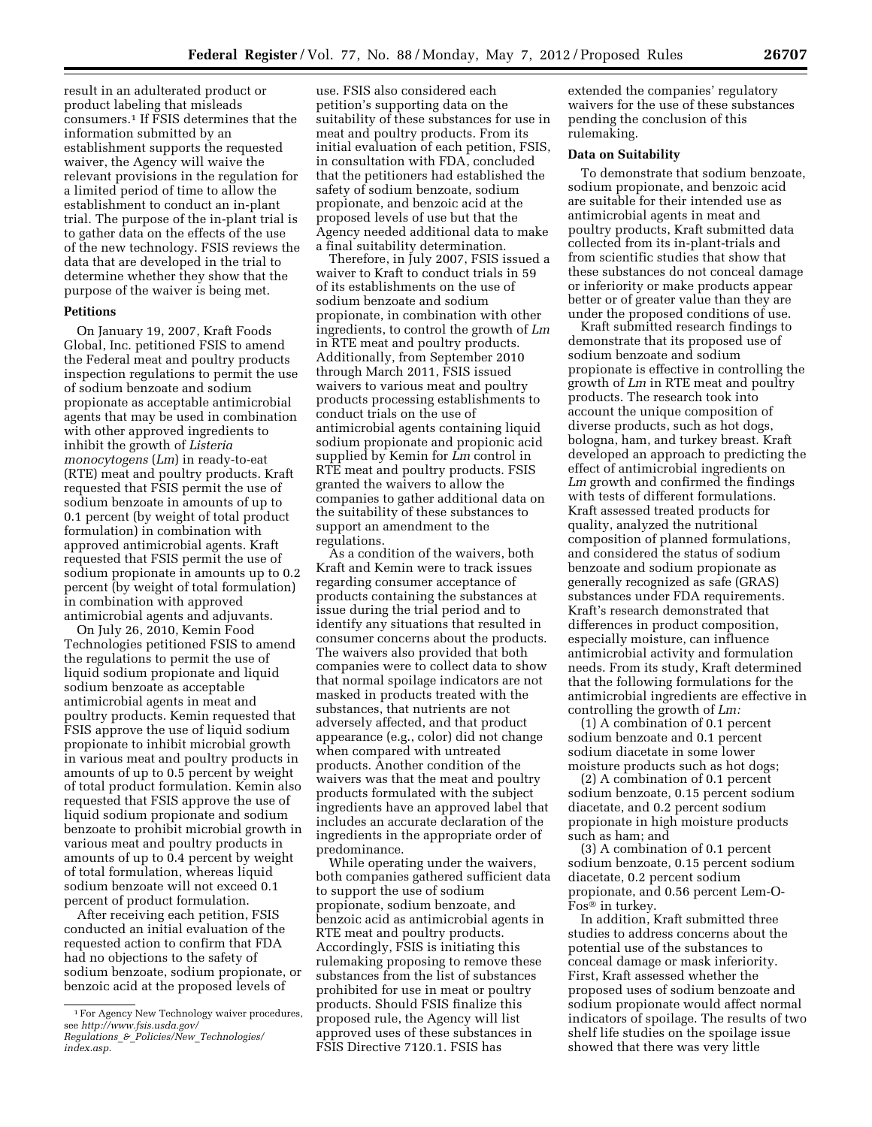result in an adulterated product or product labeling that misleads consumers.1 If FSIS determines that the information submitted by an establishment supports the requested waiver, the Agency will waive the relevant provisions in the regulation for a limited period of time to allow the establishment to conduct an in-plant trial. The purpose of the in-plant trial is to gather data on the effects of the use of the new technology. FSIS reviews the data that are developed in the trial to determine whether they show that the purpose of the waiver is being met.

### **Petitions**

On January 19, 2007, Kraft Foods Global, Inc. petitioned FSIS to amend the Federal meat and poultry products inspection regulations to permit the use of sodium benzoate and sodium propionate as acceptable antimicrobial agents that may be used in combination with other approved ingredients to inhibit the growth of *Listeria monocytogens* (*Lm*) in ready-to-eat (RTE) meat and poultry products. Kraft requested that FSIS permit the use of sodium benzoate in amounts of up to 0.1 percent (by weight of total product formulation) in combination with approved antimicrobial agents. Kraft requested that FSIS permit the use of sodium propionate in amounts up to 0.2 percent (by weight of total formulation) in combination with approved antimicrobial agents and adjuvants.

On July 26, 2010, Kemin Food Technologies petitioned FSIS to amend the regulations to permit the use of liquid sodium propionate and liquid sodium benzoate as acceptable antimicrobial agents in meat and poultry products. Kemin requested that FSIS approve the use of liquid sodium propionate to inhibit microbial growth in various meat and poultry products in amounts of up to 0.5 percent by weight of total product formulation. Kemin also requested that FSIS approve the use of liquid sodium propionate and sodium benzoate to prohibit microbial growth in various meat and poultry products in amounts of up to 0.4 percent by weight of total formulation, whereas liquid sodium benzoate will not exceed 0.1 percent of product formulation.

After receiving each petition, FSIS conducted an initial evaluation of the requested action to confirm that FDA had no objections to the safety of sodium benzoate, sodium propionate, or benzoic acid at the proposed levels of

use. FSIS also considered each petition's supporting data on the suitability of these substances for use in meat and poultry products. From its initial evaluation of each petition, FSIS, in consultation with FDA, concluded that the petitioners had established the safety of sodium benzoate, sodium propionate, and benzoic acid at the proposed levels of use but that the Agency needed additional data to make a final suitability determination.

Therefore, in July 2007, FSIS issued a waiver to Kraft to conduct trials in 59 of its establishments on the use of sodium benzoate and sodium propionate, in combination with other ingredients, to control the growth of *Lm*  in RTE meat and poultry products. Additionally, from September 2010 through March 2011, FSIS issued waivers to various meat and poultry products processing establishments to conduct trials on the use of antimicrobial agents containing liquid sodium propionate and propionic acid supplied by Kemin for *Lm* control in RTE meat and poultry products. FSIS granted the waivers to allow the companies to gather additional data on the suitability of these substances to support an amendment to the regulations.

As a condition of the waivers, both Kraft and Kemin were to track issues regarding consumer acceptance of products containing the substances at issue during the trial period and to identify any situations that resulted in consumer concerns about the products. The waivers also provided that both companies were to collect data to show that normal spoilage indicators are not masked in products treated with the substances, that nutrients are not adversely affected, and that product appearance (e.g., color) did not change when compared with untreated products. Another condition of the waivers was that the meat and poultry products formulated with the subject ingredients have an approved label that includes an accurate declaration of the ingredients in the appropriate order of predominance.

While operating under the waivers, both companies gathered sufficient data to support the use of sodium propionate, sodium benzoate, and benzoic acid as antimicrobial agents in RTE meat and poultry products. Accordingly, FSIS is initiating this rulemaking proposing to remove these substances from the list of substances prohibited for use in meat or poultry products. Should FSIS finalize this proposed rule, the Agency will list approved uses of these substances in FSIS Directive 7120.1. FSIS has

extended the companies' regulatory waivers for the use of these substances pending the conclusion of this rulemaking.

### **Data on Suitability**

To demonstrate that sodium benzoate, sodium propionate, and benzoic acid are suitable for their intended use as antimicrobial agents in meat and poultry products, Kraft submitted data collected from its in-plant-trials and from scientific studies that show that these substances do not conceal damage or inferiority or make products appear better or of greater value than they are under the proposed conditions of use.

Kraft submitted research findings to demonstrate that its proposed use of sodium benzoate and sodium propionate is effective in controlling the growth of *Lm* in RTE meat and poultry products. The research took into account the unique composition of diverse products, such as hot dogs, bologna, ham, and turkey breast. Kraft developed an approach to predicting the effect of antimicrobial ingredients on *Lm* growth and confirmed the findings with tests of different formulations. Kraft assessed treated products for quality, analyzed the nutritional composition of planned formulations, and considered the status of sodium benzoate and sodium propionate as generally recognized as safe (GRAS) substances under FDA requirements. Kraft's research demonstrated that differences in product composition, especially moisture, can influence antimicrobial activity and formulation needs. From its study, Kraft determined that the following formulations for the antimicrobial ingredients are effective in controlling the growth of *Lm:* 

(1) A combination of 0.1 percent sodium benzoate and 0.1 percent sodium diacetate in some lower moisture products such as hot dogs;

(2) A combination of 0.1 percent sodium benzoate, 0.15 percent sodium diacetate, and 0.2 percent sodium propionate in high moisture products such as ham; and

(3) A combination of 0.1 percent sodium benzoate, 0.15 percent sodium diacetate, 0.2 percent sodium propionate, and 0.56 percent Lem-O-Fos® in turkey.

In addition, Kraft submitted three studies to address concerns about the potential use of the substances to conceal damage or mask inferiority. First, Kraft assessed whether the proposed uses of sodium benzoate and sodium propionate would affect normal indicators of spoilage. The results of two shelf life studies on the spoilage issue showed that there was very little

<sup>1</sup>For Agency New Technology waiver procedures, see *[http://www.fsis.usda.gov/](http://www.fsis.usda.gov/Regulations_&_Policies/New_Technologies/index.asp) Regulations*\_*&*\_*Policies/New*\_*[Technologies/](http://www.fsis.usda.gov/Regulations_&_Policies/New_Technologies/index.asp)  [index.asp.](http://www.fsis.usda.gov/Regulations_&_Policies/New_Technologies/index.asp)*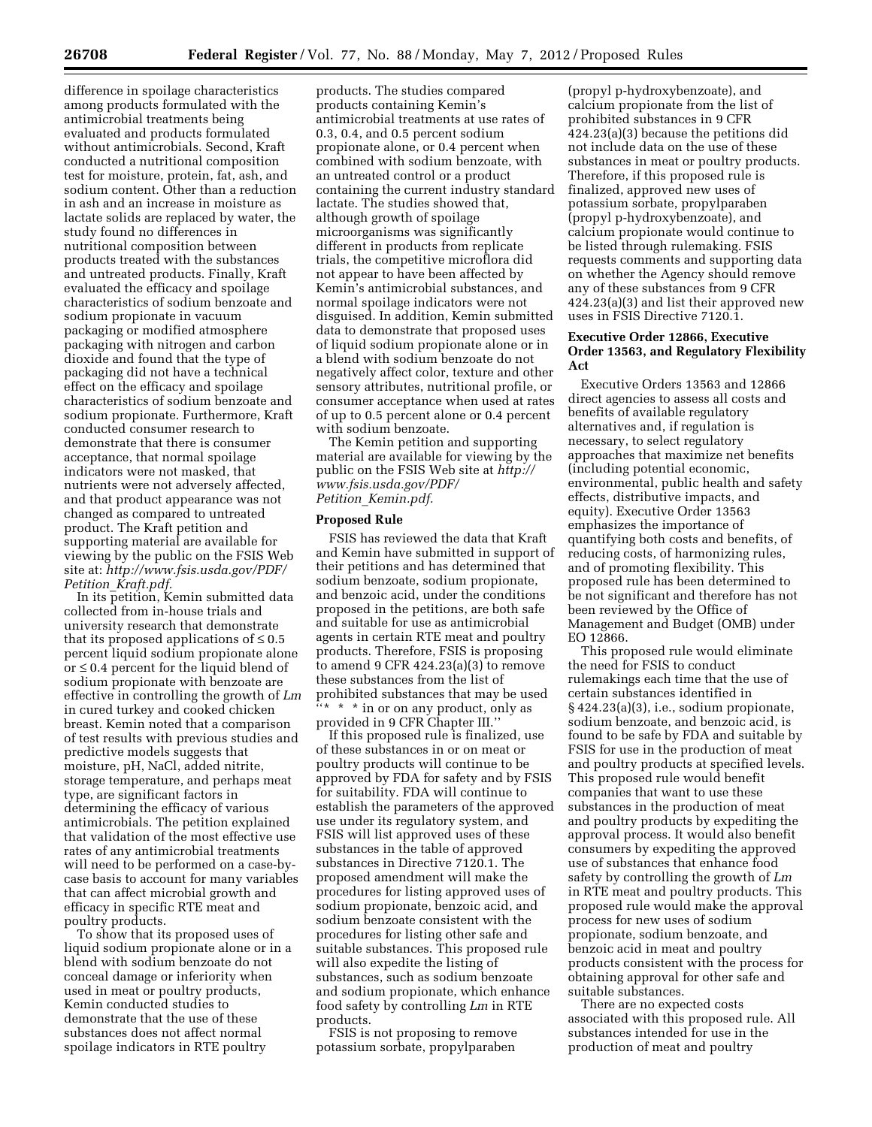difference in spoilage characteristics among products formulated with the antimicrobial treatments being evaluated and products formulated without antimicrobials. Second, Kraft conducted a nutritional composition test for moisture, protein, fat, ash, and sodium content. Other than a reduction in ash and an increase in moisture as lactate solids are replaced by water, the study found no differences in nutritional composition between products treated with the substances and untreated products. Finally, Kraft evaluated the efficacy and spoilage characteristics of sodium benzoate and sodium propionate in vacuum packaging or modified atmosphere packaging with nitrogen and carbon dioxide and found that the type of packaging did not have a technical effect on the efficacy and spoilage characteristics of sodium benzoate and sodium propionate. Furthermore, Kraft conducted consumer research to demonstrate that there is consumer acceptance, that normal spoilage indicators were not masked, that nutrients were not adversely affected, and that product appearance was not changed as compared to untreated product. The Kraft petition and supporting material are available for viewing by the public on the FSIS Web site at: *[http://www.fsis.usda.gov/PDF/](http://www.fsis.usda.gov/PDF/Petition_Kraft.pdf) Petition*\_*[Kraft.pdf.](http://www.fsis.usda.gov/PDF/Petition_Kraft.pdf)* 

In its petition, Kemin submitted data collected from in-house trials and university research that demonstrate that its proposed applications of  $\leq 0.5$ percent liquid sodium propionate alone or ≤ 0.4 percent for the liquid blend of sodium propionate with benzoate are effective in controlling the growth of *Lm*  in cured turkey and cooked chicken breast. Kemin noted that a comparison of test results with previous studies and predictive models suggests that moisture, pH, NaCl, added nitrite, storage temperature, and perhaps meat type, are significant factors in determining the efficacy of various antimicrobials. The petition explained that validation of the most effective use rates of any antimicrobial treatments will need to be performed on a case-bycase basis to account for many variables that can affect microbial growth and efficacy in specific RTE meat and poultry products.

To show that its proposed uses of liquid sodium propionate alone or in a blend with sodium benzoate do not conceal damage or inferiority when used in meat or poultry products, Kemin conducted studies to demonstrate that the use of these substances does not affect normal spoilage indicators in RTE poultry

products. The studies compared products containing Kemin's antimicrobial treatments at use rates of 0.3, 0.4, and 0.5 percent sodium propionate alone, or 0.4 percent when combined with sodium benzoate, with an untreated control or a product containing the current industry standard lactate. The studies showed that, although growth of spoilage microorganisms was significantly different in products from replicate trials, the competitive microflora did not appear to have been affected by Kemin's antimicrobial substances, and normal spoilage indicators were not disguised. In addition, Kemin submitted data to demonstrate that proposed uses of liquid sodium propionate alone or in a blend with sodium benzoate do not negatively affect color, texture and other sensory attributes, nutritional profile, or consumer acceptance when used at rates of up to 0.5 percent alone or 0.4 percent with sodium benzoate.

The Kemin petition and supporting material are available for viewing by the public on the FSIS Web site at *[http://](http://www.fsis.usda.gov/PDF/Petition_Kemin.pdf)  [www.fsis.usda.gov/PDF/](http://www.fsis.usda.gov/PDF/Petition_Kemin.pdf) Petition*\_*[Kemin.pdf.](http://www.fsis.usda.gov/PDF/Petition_Kemin.pdf)* 

#### **Proposed Rule**

FSIS has reviewed the data that Kraft and Kemin have submitted in support of their petitions and has determined that sodium benzoate, sodium propionate, and benzoic acid, under the conditions proposed in the petitions, are both safe and suitable for use as antimicrobial agents in certain RTE meat and poultry products. Therefore, FSIS is proposing to amend 9 CFR 424.23(a)(3) to remove these substances from the list of prohibited substances that may be used \* \* in or on any product, only as provided in 9 CFR Chapter III.''

If this proposed rule is finalized, use of these substances in or on meat or poultry products will continue to be approved by FDA for safety and by FSIS for suitability. FDA will continue to establish the parameters of the approved use under its regulatory system, and FSIS will list approved uses of these substances in the table of approved substances in Directive 7120.1. The proposed amendment will make the procedures for listing approved uses of sodium propionate, benzoic acid, and sodium benzoate consistent with the procedures for listing other safe and suitable substances. This proposed rule will also expedite the listing of substances, such as sodium benzoate and sodium propionate, which enhance food safety by controlling *Lm* in RTE products.

FSIS is not proposing to remove potassium sorbate, propylparaben

(propyl p-hydroxybenzoate), and calcium propionate from the list of prohibited substances in 9 CFR 424.23(a)(3) because the petitions did not include data on the use of these substances in meat or poultry products. Therefore, if this proposed rule is finalized, approved new uses of potassium sorbate, propylparaben (propyl p-hydroxybenzoate), and calcium propionate would continue to be listed through rulemaking. FSIS requests comments and supporting data on whether the Agency should remove any of these substances from 9 CFR 424.23(a)(3) and list their approved new uses in FSIS Directive 7120.1.

## **Executive Order 12866, Executive Order 13563, and Regulatory Flexibility Act**

Executive Orders 13563 and 12866 direct agencies to assess all costs and benefits of available regulatory alternatives and, if regulation is necessary, to select regulatory approaches that maximize net benefits (including potential economic, environmental, public health and safety effects, distributive impacts, and equity). Executive Order 13563 emphasizes the importance of quantifying both costs and benefits, of reducing costs, of harmonizing rules, and of promoting flexibility. This proposed rule has been determined to be not significant and therefore has not been reviewed by the Office of Management and Budget (OMB) under EO 12866.

This proposed rule would eliminate the need for FSIS to conduct rulemakings each time that the use of certain substances identified in § 424.23(a)(3), i.e., sodium propionate, sodium benzoate, and benzoic acid, is found to be safe by FDA and suitable by FSIS for use in the production of meat and poultry products at specified levels. This proposed rule would benefit companies that want to use these substances in the production of meat and poultry products by expediting the approval process. It would also benefit consumers by expediting the approved use of substances that enhance food safety by controlling the growth of *Lm*  in RTE meat and poultry products. This proposed rule would make the approval process for new uses of sodium propionate, sodium benzoate, and benzoic acid in meat and poultry products consistent with the process for obtaining approval for other safe and suitable substances.

There are no expected costs associated with this proposed rule. All substances intended for use in the production of meat and poultry